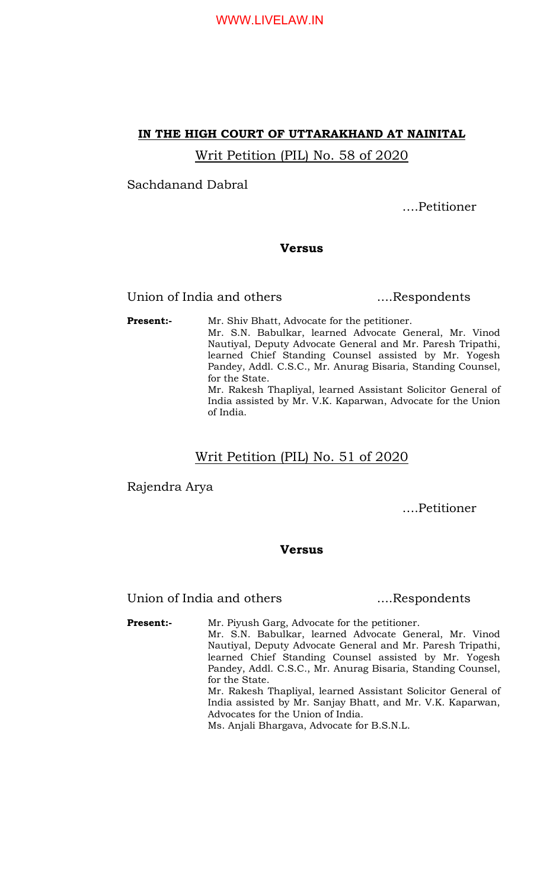## WWW.LIVELAW.IN

### IN THE HIGH COURT OF UTTARAKHAND AT NAINITAL

Writ Petition (PIL) No. 58 of 2020

Sachdanand Dabral

….Petitioner

#### Versus

Union of India and others .....Respondents

**Present:-** Mr. Shiv Bhatt, Advocate for the petitioner. Mr. S.N. Babulkar, learned Advocate General, Mr. Vinod Nautiyal, Deputy Advocate General and Mr. Paresh Tripathi, learned Chief Standing Counsel assisted by Mr. Yogesh Pandey, Addl. C.S.C., Mr. Anurag Bisaria, Standing Counsel, for the State. Mr. Rakesh Thapliyal, learned Assistant Solicitor General of India assisted by Mr. V.K. Kaparwan, Advocate for the Union of India.

Writ Petition (PIL) No. 51 of 2020

Rajendra Arya

….Petitioner

#### Versus

Union of India and others ....Respondents

**Present:-** Mr. Piyush Garg, Advocate for the petitioner. Mr. S.N. Babulkar, learned Advocate General, Mr. Vinod Nautiyal, Deputy Advocate General and Mr. Paresh Tripathi, learned Chief Standing Counsel assisted by Mr. Yogesh Pandey, Addl. C.S.C., Mr. Anurag Bisaria, Standing Counsel, for the State. Mr. Rakesh Thapliyal, learned Assistant Solicitor General of India assisted by Mr. Sanjay Bhatt, and Mr. V.K. Kaparwan, Advocates for the Union of India. Ms. Anjali Bhargava, Advocate for B.S.N.L.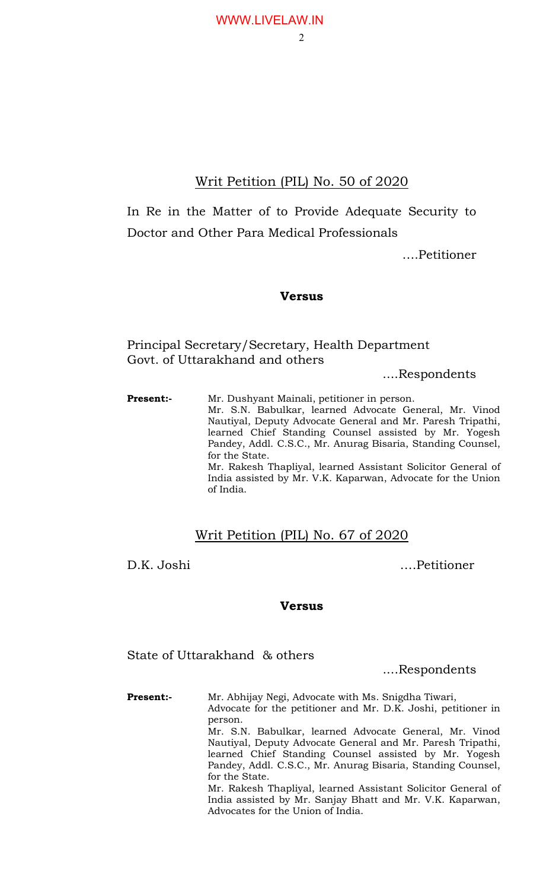## WWW.LIVELAW.IN

# Writ Petition (PIL) No. 50 of 2020

In Re in the Matter of to Provide Adequate Security to Doctor and Other Para Medical Professionals

….Petitioner

### Versus

Principal Secretary/Secretary, Health Department Govt. of Uttarakhand and others

....Respondents

Present:- Mr. Dushyant Mainali, petitioner in person. Mr. S.N. Babulkar, learned Advocate General, Mr. Vinod Nautiyal, Deputy Advocate General and Mr. Paresh Tripathi, learned Chief Standing Counsel assisted by Mr. Yogesh Pandey, Addl. C.S.C., Mr. Anurag Bisaria, Standing Counsel, for the State. Mr. Rakesh Thapliyal, learned Assistant Solicitor General of India assisted by Mr. V.K. Kaparwan, Advocate for the Union of India.

# Writ Petition (PIL) No. 67 of 2020

D.K. Joshi ….Petitioner

Versus

State of Uttarakhand & others

....Respondents

Present:- Mr. Abhijay Negi, Advocate with Ms. Snigdha Tiwari, Advocate for the petitioner and Mr. D.K. Joshi, petitioner in person. Mr. S.N. Babulkar, learned Advocate General, Mr. Vinod Nautiyal, Deputy Advocate General and Mr. Paresh Tripathi, learned Chief Standing Counsel assisted by Mr. Yogesh Pandey, Addl. C.S.C., Mr. Anurag Bisaria, Standing Counsel, for the State. Mr. Rakesh Thapliyal, learned Assistant Solicitor General of India assisted by Mr. Sanjay Bhatt and Mr. V.K. Kaparwan, Advocates for the Union of India.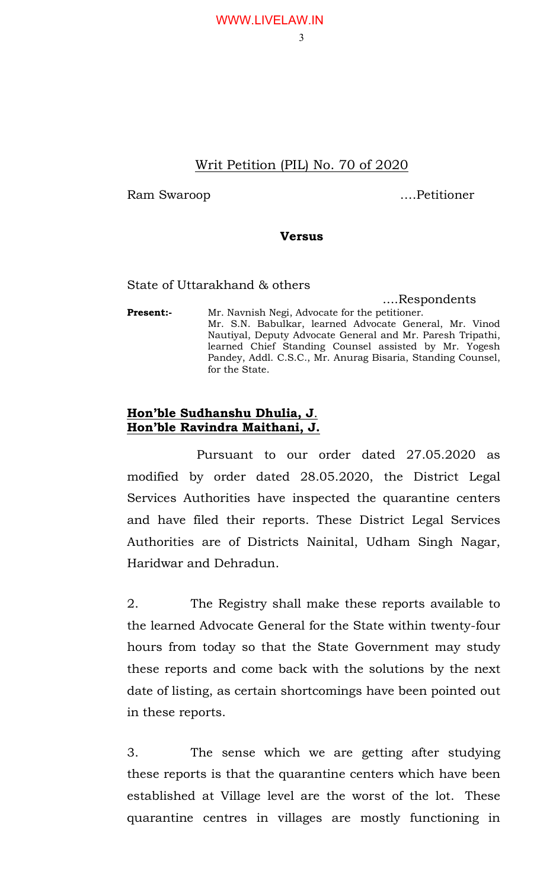# WWW.LIVELAW.IN

#### 3

# Writ Petition (PIL) No. 70 of 2020

Ram Swaroop ….Petitioner

## Versus

## State of Uttarakhand & others

 ....Respondents Present:- Mr. Navnish Negi, Advocate for the petitioner. Mr. S.N. Babulkar, learned Advocate General, Mr. Vinod Nautiyal, Deputy Advocate General and Mr. Paresh Tripathi, learned Chief Standing Counsel assisted by Mr. Yogesh Pandey, Addl. C.S.C., Mr. Anurag Bisaria, Standing Counsel, for the State.

## Hon'ble Sudhanshu Dhulia, J. Hon'ble Ravindra Maithani, J.

 Pursuant to our order dated 27.05.2020 as modified by order dated 28.05.2020, the District Legal Services Authorities have inspected the quarantine centers and have filed their reports. These District Legal Services Authorities are of Districts Nainital, Udham Singh Nagar, Haridwar and Dehradun.

2. The Registry shall make these reports available to the learned Advocate General for the State within twenty-four hours from today so that the State Government may study these reports and come back with the solutions by the next date of listing, as certain shortcomings have been pointed out in these reports.

3. The sense which we are getting after studying these reports is that the quarantine centers which have been established at Village level are the worst of the lot. These quarantine centres in villages are mostly functioning in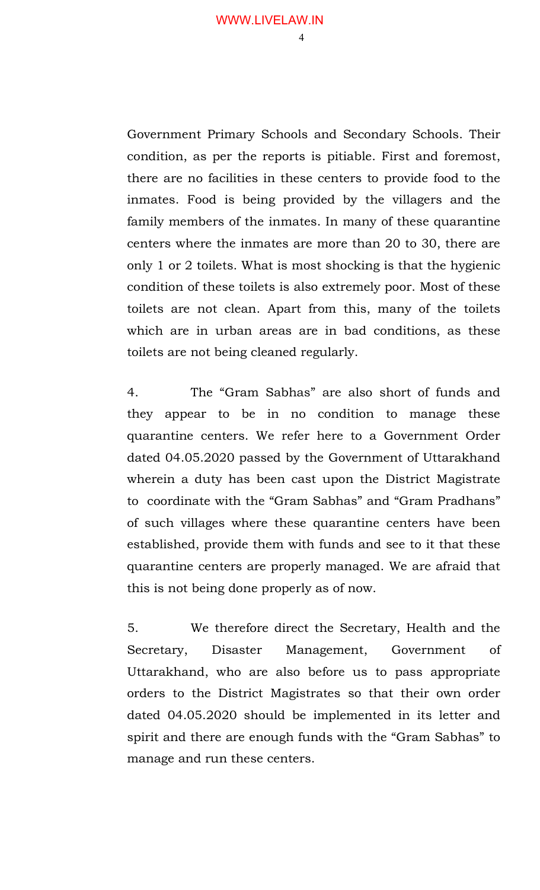$\Delta$ 

Government Primary Schools and Secondary Schools. Their condition, as per the reports is pitiable. First and foremost, there are no facilities in these centers to provide food to the inmates. Food is being provided by the villagers and the family members of the inmates. In many of these quarantine centers where the inmates are more than 20 to 30, there are only 1 or 2 toilets. What is most shocking is that the hygienic condition of these toilets is also extremely poor. Most of these toilets are not clean. Apart from this, many of the toilets which are in urban areas are in bad conditions, as these toilets are not being cleaned regularly.

4. The "Gram Sabhas" are also short of funds and they appear to be in no condition to manage these quarantine centers. We refer here to a Government Order dated 04.05.2020 passed by the Government of Uttarakhand wherein a duty has been cast upon the District Magistrate to coordinate with the "Gram Sabhas" and "Gram Pradhans" of such villages where these quarantine centers have been established, provide them with funds and see to it that these quarantine centers are properly managed. We are afraid that this is not being done properly as of now.

5. We therefore direct the Secretary, Health and the Secretary, Disaster Management, Government of Uttarakhand, who are also before us to pass appropriate orders to the District Magistrates so that their own order dated 04.05.2020 should be implemented in its letter and spirit and there are enough funds with the "Gram Sabhas" to manage and run these centers.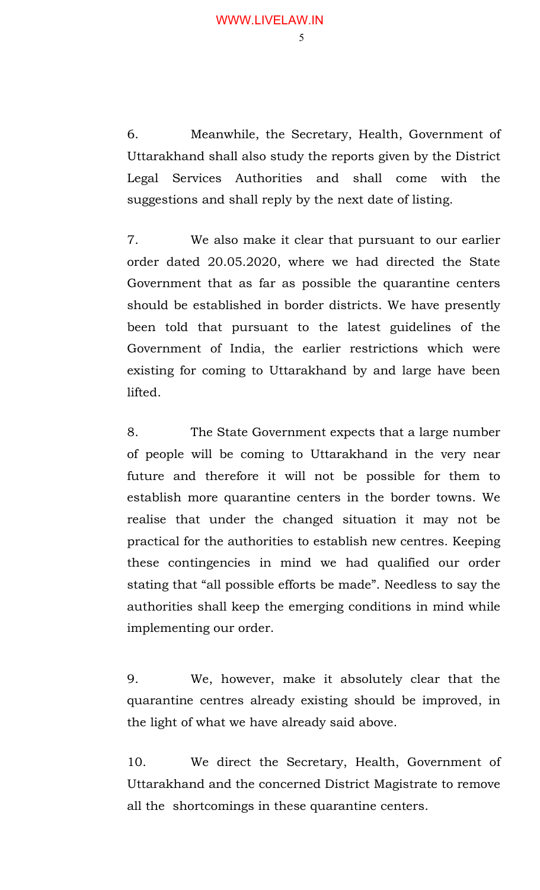6. Meanwhile, the Secretary, Health, Government of Uttarakhand shall also study the reports given by the District Legal Services Authorities and shall come with the suggestions and shall reply by the next date of listing.

7. We also make it clear that pursuant to our earlier order dated 20.05.2020, where we had directed the State Government that as far as possible the quarantine centers should be established in border districts. We have presently been told that pursuant to the latest guidelines of the Government of India, the earlier restrictions which were existing for coming to Uttarakhand by and large have been lifted.

8. The State Government expects that a large number of people will be coming to Uttarakhand in the very near future and therefore it will not be possible for them to establish more quarantine centers in the border towns. We realise that under the changed situation it may not be practical for the authorities to establish new centres. Keeping these contingencies in mind we had qualified our order stating that "all possible efforts be made". Needless to say the authorities shall keep the emerging conditions in mind while implementing our order.

9. We, however, make it absolutely clear that the quarantine centres already existing should be improved, in the light of what we have already said above.

10. We direct the Secretary, Health, Government of Uttarakhand and the concerned District Magistrate to remove all the shortcomings in these quarantine centers.